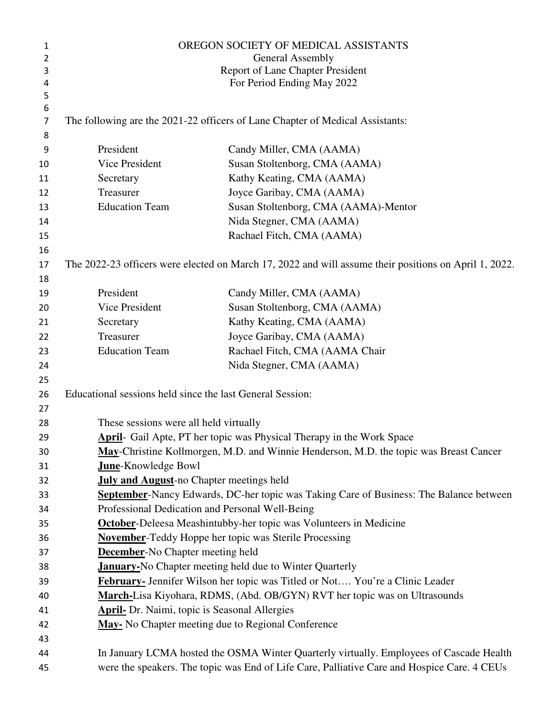| 1      | OREGON SOCIETY OF MEDICAL ASSISTANTS                                                                  |                                                                                                |  |
|--------|-------------------------------------------------------------------------------------------------------|------------------------------------------------------------------------------------------------|--|
| 2      | General Assembly                                                                                      |                                                                                                |  |
| 3      | <b>Report of Lane Chapter President</b>                                                               |                                                                                                |  |
| 4      |                                                                                                       | For Period Ending May 2022                                                                     |  |
| 5      |                                                                                                       |                                                                                                |  |
| 6<br>7 | The following are the 2021-22 officers of Lane Chapter of Medical Assistants:                         |                                                                                                |  |
| 8      |                                                                                                       |                                                                                                |  |
| 9      | President                                                                                             | Candy Miller, CMA (AAMA)                                                                       |  |
| 10     | Vice President                                                                                        | Susan Stoltenborg, CMA (AAMA)                                                                  |  |
| 11     | Secretary                                                                                             | Kathy Keating, CMA (AAMA)                                                                      |  |
| 12     | Treasurer                                                                                             | Joyce Garibay, CMA (AAMA)                                                                      |  |
| 13     | <b>Education Team</b>                                                                                 | Susan Stoltenborg, CMA (AAMA)-Mentor                                                           |  |
| 14     |                                                                                                       | Nida Stegner, CMA (AAMA)                                                                       |  |
| 15     |                                                                                                       | Rachael Fitch, CMA (AAMA)                                                                      |  |
| 16     |                                                                                                       |                                                                                                |  |
| 17     | The 2022-23 officers were elected on March 17, 2022 and will assume their positions on April 1, 2022. |                                                                                                |  |
| 18     |                                                                                                       |                                                                                                |  |
| 19     | President                                                                                             | Candy Miller, CMA (AAMA)                                                                       |  |
| 20     | Vice President                                                                                        | Susan Stoltenborg, CMA (AAMA)                                                                  |  |
| 21     | Secretary                                                                                             | Kathy Keating, CMA (AAMA)                                                                      |  |
| 22     | Treasurer                                                                                             | Joyce Garibay, CMA (AAMA)                                                                      |  |
| 23     | <b>Education Team</b>                                                                                 | Rachael Fitch, CMA (AAMA Chair                                                                 |  |
| 24     |                                                                                                       | Nida Stegner, CMA (AAMA)                                                                       |  |
| 25     |                                                                                                       |                                                                                                |  |
| 26     | Educational sessions held since the last General Session:                                             |                                                                                                |  |
| 27     |                                                                                                       |                                                                                                |  |
| 28     | These sessions were all held virtually                                                                |                                                                                                |  |
| 29     | April- Gail Apte, PT her topic was Physical Therapy in the Work Space                                 |                                                                                                |  |
| 30     | May-Christine Kollmorgen, M.D. and Winnie Henderson, M.D. the topic was Breast Cancer                 |                                                                                                |  |
| 31     | <b>June-Knowledge Bowl</b>                                                                            |                                                                                                |  |
| 32     | <b>July and August-no Chapter meetings held</b>                                                       |                                                                                                |  |
| 33     |                                                                                                       | <b>September-</b> Nancy Edwards, DC-her topic was Taking Care of Business: The Balance between |  |
| 34     |                                                                                                       | Professional Dedication and Personal Well-Being                                                |  |
| 35     |                                                                                                       | <b>October-Deleesa Meashintubby-her topic was Volunteers in Medicine</b>                       |  |
| 36     | <b>November-Teddy Hoppe her topic was Sterile Processing</b>                                          |                                                                                                |  |
| 37     | <b>December-No Chapter meeting held</b>                                                               |                                                                                                |  |
| 38     | <b>January-No Chapter meeting held due to Winter Quarterly</b>                                        |                                                                                                |  |
| 39     | February- Jennifer Wilson her topic was Titled or Not You're a Clinic Leader                          |                                                                                                |  |
| 40     | March-Lisa Kiyohara, RDMS, (Abd. OB/GYN) RVT her topic was on Ultrasounds                             |                                                                                                |  |
| 41     | <b>April-</b> Dr. Naimi, topic is Seasonal Allergies                                                  |                                                                                                |  |
| 42     |                                                                                                       | May- No Chapter meeting due to Regional Conference                                             |  |
| 43     |                                                                                                       |                                                                                                |  |
| 44     |                                                                                                       | In January LCMA hosted the OSMA Winter Quarterly virtually. Employees of Cascade Health        |  |
| 45     | were the speakers. The topic was End of Life Care, Palliative Care and Hospice Care. 4 CEUs           |                                                                                                |  |